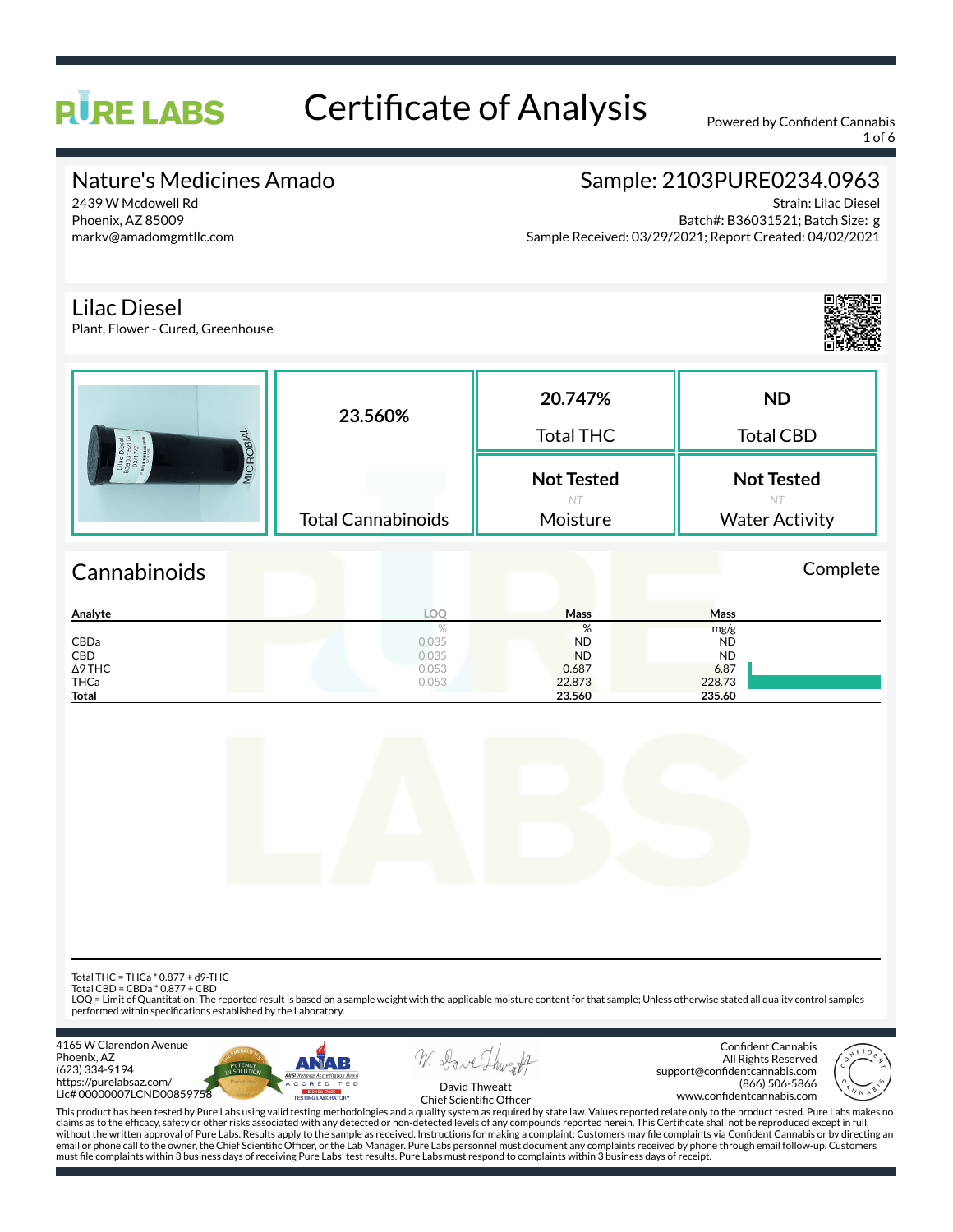# Certificate of Analysis Powered by Confident Cannabis

1 of 6

### Nature's Medicines Amado

2439 W Mcdowell Rd Phoenix, AZ 85009 markv@amadomgmtllc.com

**RURE LABS** 

# Sample: 2103PURE0234.0963

Strain: Lilac Diesel Batch#: B36031521; Batch Size: g Sample Received: 03/29/2021; Report Created: 04/02/2021

#### Lilac Diesel

Plant, Flower - Cured, Greenhouse



|              |       | %         | mg/g      |  |
|--------------|-------|-----------|-----------|--|
| CBDa         | 0.035 | <b>ND</b> | <b>ND</b> |  |
| CBD          | 0.035 | <b>ND</b> | <b>ND</b> |  |
| ∆9 THC       | 0.053 | 0.687     | 6.87      |  |
| THCa         | 0.053 | 22.873    | 228.73    |  |
| <b>Total</b> |       | 23.560    | 235.60    |  |



Total THC = THCa \* 0.877 + d9-THC

Total CBD = CBDa \* 0.877 + CBD

LOQ = Limit of Quantitation; The reported result is based on a sample weight with the applicable moisture content for that sample; Unless otherwise stated all quality control samples performed within specifications established by the Laboratory.







Confident Cannabis All Rights Reserved support@confidentcannabis.com (866) 506-5866 www.confidentcannabis.com



David Thweatt Chief Scientific Officer

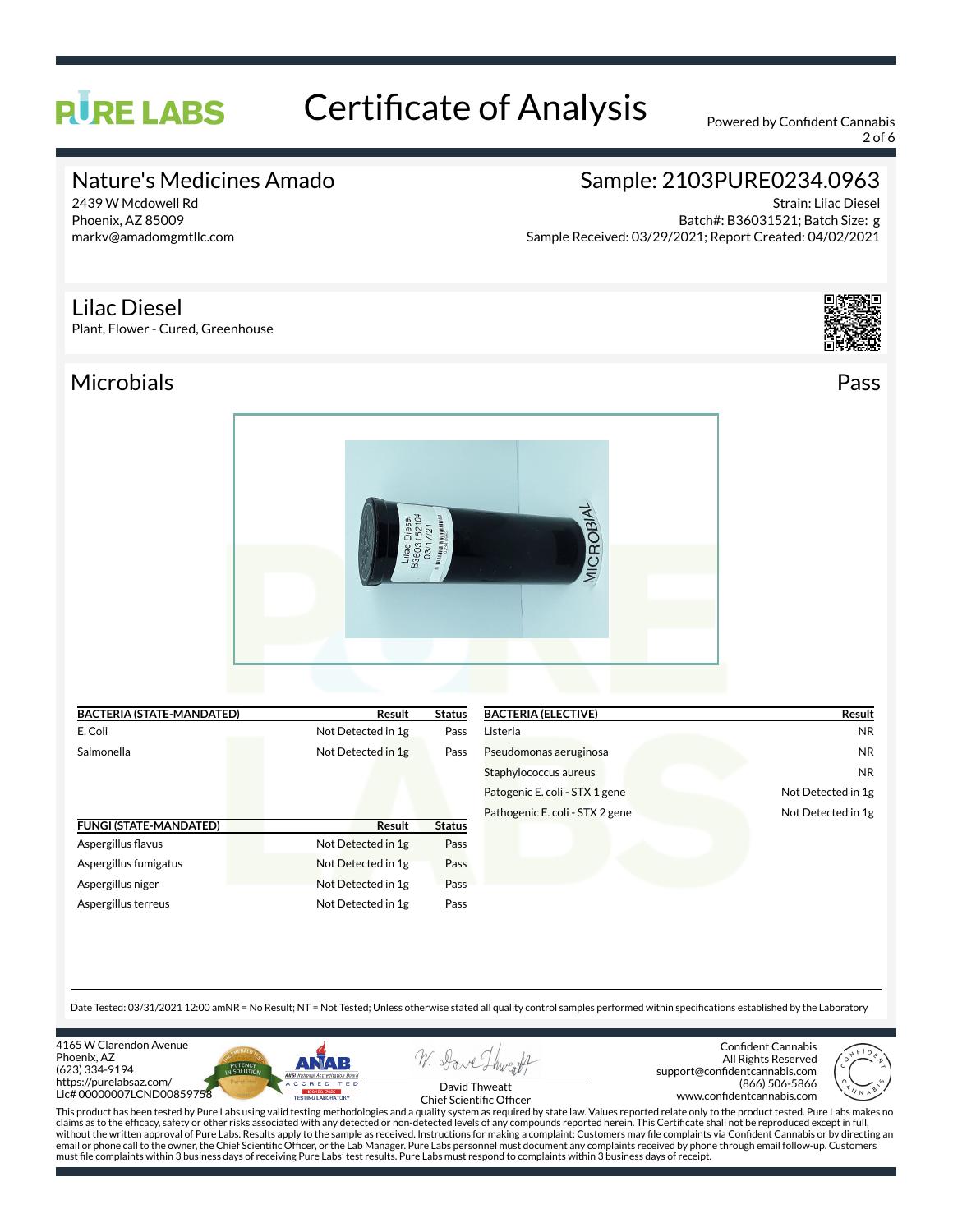# **RURE LABS**

# Certificate of Analysis Powered by Confident Cannabis

2 of 6

## Nature's Medicines Amado

2439 W Mcdowell Rd Phoenix, AZ 85009 markv@amadomgmtllc.com

# Sample: 2103PURE0234.0963

Strain: Lilac Diesel Batch#: B36031521; Batch Size: g Sample Received: 03/29/2021; Report Created: 04/02/2021

#### Lilac Diesel

Plant, Flower - Cured, Greenhouse

Microbials Pass



| <b>BACTERIA (STATE-MANDATED)</b> | Result             | <b>Status</b> |  |
|----------------------------------|--------------------|---------------|--|
| E. Coli                          | Not Detected in 1g | Pass          |  |
| Salmonella                       | Not Detected in 1g | Pass          |  |
| <b>FUNGI (STATE-MANDATED)</b>    | <b>Result</b>      | <b>Status</b> |  |
| Aspergillus flavus               | Not Detected in 1g | Pass          |  |
| Aspergillus fumigatus            | Not Detected in 1g | Pass          |  |
| Aspergillus niger                | Not Detected in 1g | Pass          |  |
| Aspergillus terreus              | Not Detected in 1g | Pass          |  |

| <b>BACTERIA (ELECTIVE)</b>      | Result             |
|---------------------------------|--------------------|
| Listeria                        | NR                 |
| Pseudomonas aeruginosa          | NR                 |
| Staphylococcus aureus           | <b>NR</b>          |
| Patogenic E. coli - STX 1 gene  | Not Detected in 1g |
| Pathogenic E. coli - STX 2 gene | Not Detected in 1g |
|                                 |                    |

Date Tested: 03/31/2021 12:00 amNR = No Result; NT = Not Tested; Unless otherwise stated all quality control samples performed within specifications established by the Laboratory

4165 W Clarendon Avenue Phoenix, AZ (623) 334-9194 https://purelabsaz.com/ Lic# 00000007LCND00859758





Confident Cannabis All Rights Reserved support@confidentcannabis.com (866) 506-5866 www.confidentcannabis.com



David Thweatt Chief Scientific Officer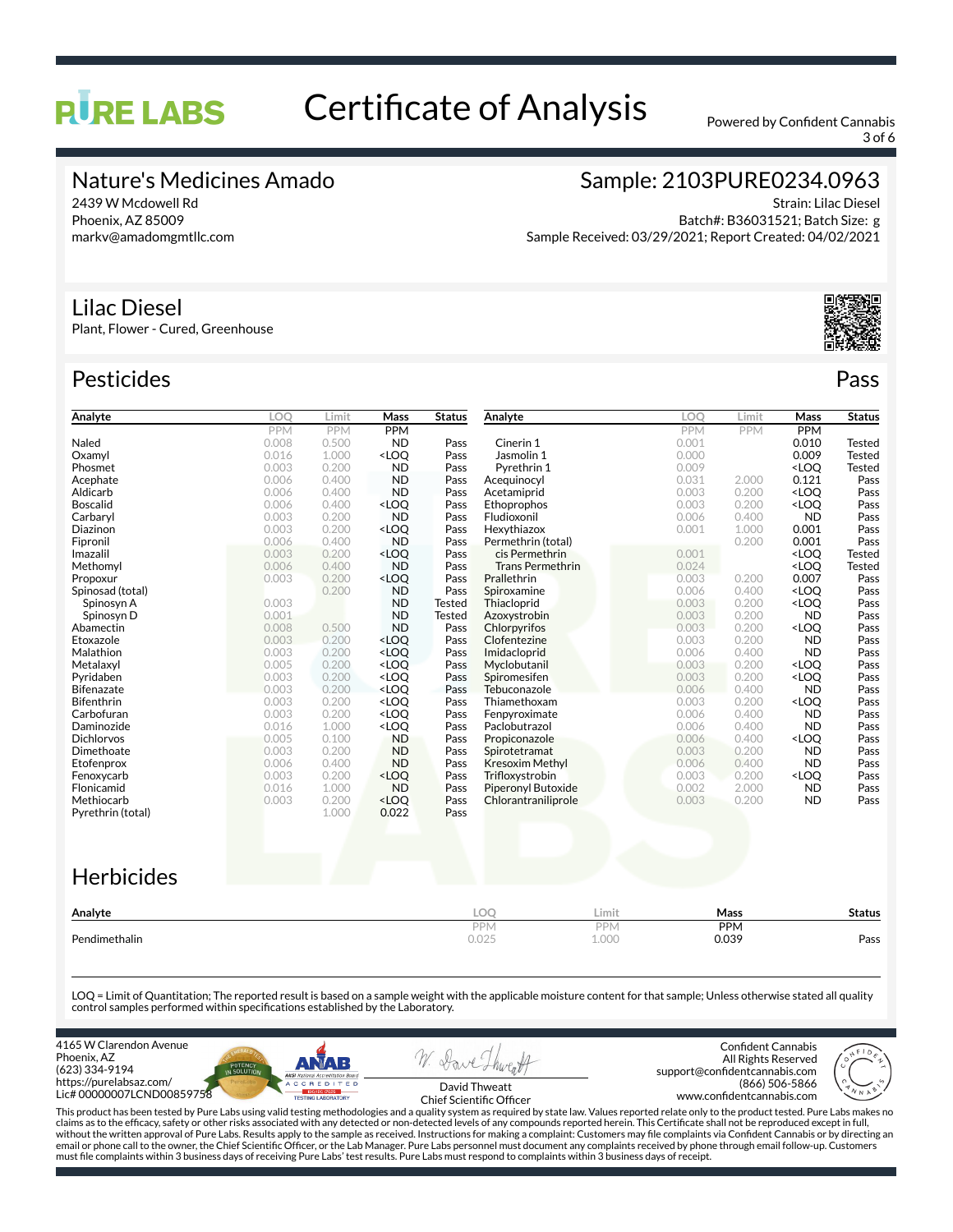# **RURE LABS**

# Certificate of Analysis Powered by Confident Cannabis

3 of 6

### Nature's Medicines Amado

2439 W Mcdowell Rd Phoenix, AZ 85009 markv@amadomgmtllc.com

# Sample: 2103PURE0234.0963

Strain: Lilac Diesel Batch#: B36031521; Batch Size: g Sample Received: 03/29/2021; Report Created: 04/02/2021

#### Lilac Diesel

Plant, Flower - Cured, Greenhouse

### Pesticides **Passage Contract Contract Contract Contract Contract Contract Contract Contract Contract Contract Contract Contract Contract Contract Contract Contract Contract Contract Contract Contract Contract Contract Cont**

| Analyte           | LOO   | Limit      | Mass                                                                                                                                      | <b>Status</b> | Analyte                   |       | <b>LOO</b> | Limit      | Mass                                      | <b>Status</b> |
|-------------------|-------|------------|-------------------------------------------------------------------------------------------------------------------------------------------|---------------|---------------------------|-------|------------|------------|-------------------------------------------|---------------|
|                   | PPM   | <b>PPM</b> | PPM                                                                                                                                       |               |                           |       | PPM        | <b>PPM</b> | <b>PPM</b>                                |               |
| Naled             | 0.008 | 0.500      | <b>ND</b>                                                                                                                                 | Pass          | Cinerin 1                 |       | 0.001      |            | 0.010                                     | <b>Tested</b> |
| Oxamyl            | 0.016 | 1.000      | <loq< td=""><td>Pass</td><td>Jasmolin 1</td><td></td><td>0.000</td><td></td><td>0.009</td><td><b>Tested</b></td></loq<>                   | Pass          | Jasmolin 1                |       | 0.000      |            | 0.009                                     | <b>Tested</b> |
| Phosmet           | 0.003 | 0.200      | <b>ND</b>                                                                                                                                 | Pass          | Pyrethrin 1               |       | 0.009      |            | <loo< td=""><td><b>Tested</b></td></loo<> | <b>Tested</b> |
| Acephate          | 0.006 | 0.400      | <b>ND</b>                                                                                                                                 | Pass          | Acequinocyl               |       | 0.031      | 2.000      | 0.121                                     | Pass          |
| Aldicarb          | 0.006 | 0.400      | <b>ND</b>                                                                                                                                 | Pass          | Acetamiprid               |       | 0.003      | 0.200      | <loo< td=""><td>Pass</td></loo<>          | Pass          |
| <b>Boscalid</b>   | 0.006 | 0.400      | <loq< td=""><td>Pass</td><td>Ethoprophos</td><td></td><td>0.003</td><td>0.200</td><td><loq< td=""><td>Pass</td></loq<></td></loq<>        | Pass          | Ethoprophos               |       | 0.003      | 0.200      | <loq< td=""><td>Pass</td></loq<>          | Pass          |
| Carbaryl          | 0.003 | 0.200      | <b>ND</b>                                                                                                                                 | Pass          | Fludioxonil               |       | 0.006      | 0.400      | <b>ND</b>                                 | Pass          |
| Diazinon          | 0.003 | 0.200      | <loq< td=""><td>Pass</td><td>Hexythiazox</td><td></td><td>0.001</td><td>1.000</td><td>0.001</td><td>Pass</td></loq<>                      | Pass          | Hexythiazox               |       | 0.001      | 1.000      | 0.001                                     | Pass          |
| Fipronil          | 0.006 | 0.400      | <b>ND</b>                                                                                                                                 | Pass          | Permethrin (total)        |       |            | 0.200      | 0.001                                     | Pass          |
| Imazalil          | 0.003 | 0.200      | <loo< td=""><td>Pass</td><td>cis Permethrin</td><td></td><td>0.001</td><td></td><td><loo< td=""><td><b>Tested</b></td></loo<></td></loo<> | Pass          | cis Permethrin            |       | 0.001      |            | <loo< td=""><td><b>Tested</b></td></loo<> | <b>Tested</b> |
| Methomyl          | 0.006 | 0.400      | <b>ND</b>                                                                                                                                 | Pass          | <b>Trans Permethrin</b>   |       | 0.024      |            | <loq< td=""><td><b>Tested</b></td></loq<> | <b>Tested</b> |
| Propoxur          | 0.003 | 0.200      | <loq< td=""><td>Pass</td><td>Prallethrin</td><td></td><td>0.003</td><td>0.200</td><td>0.007</td><td>Pass</td></loq<>                      | Pass          | Prallethrin               |       | 0.003      | 0.200      | 0.007                                     | Pass          |
| Spinosad (total)  |       | 0.200      | <b>ND</b>                                                                                                                                 | Pass          | Spiroxamine               |       | 0.006      | 0.400      | <loo< td=""><td>Pass</td></loo<>          | Pass          |
| Spinosyn A        | 0.003 |            | <b>ND</b>                                                                                                                                 | Tested        | Thiacloprid               |       | 0.003      | 0.200      | <loo< td=""><td>Pass</td></loo<>          | Pass          |
| Spinosyn D        | 0.001 |            | <b>ND</b>                                                                                                                                 | Tested        | Azoxystrobin              |       | 0.003      | 0.200      | <b>ND</b>                                 | Pass          |
| Abamectin         | 0.008 | 0.500      | <b>ND</b>                                                                                                                                 | Pass          | Chlorpyrifos              |       | 0.003      | 0.200      | <loo< td=""><td>Pass</td></loo<>          | Pass          |
| Etoxazole         | 0.003 | 0.200      | <loq< td=""><td>Pass</td><td>Clofentezine</td><td></td><td>0.003</td><td>0.200</td><td><b>ND</b></td><td>Pass</td></loq<>                 | Pass          | Clofentezine              |       | 0.003      | 0.200      | <b>ND</b>                                 | Pass          |
| Malathion         | 0.003 | 0.200      | <loo< td=""><td>Pass</td><td>Imidacloprid</td><td></td><td>0.006</td><td>0.400</td><td><b>ND</b></td><td>Pass</td></loo<>                 | Pass          | Imidacloprid              |       | 0.006      | 0.400      | <b>ND</b>                                 | Pass          |
| Metalaxyl         | 0.005 | 0.200      | <loq< td=""><td>Pass</td><td>Myclobutanil</td><td></td><td>0.003</td><td>0.200</td><td><loo< td=""><td>Pass</td></loo<></td></loq<>       | Pass          | Myclobutanil              |       | 0.003      | 0.200      | <loo< td=""><td>Pass</td></loo<>          | Pass          |
| Pyridaben         | 0.003 | 0.200      | <loq< td=""><td>Pass</td><td>Spiromesifen</td><td></td><td>0.003</td><td>0.200</td><td><loq< td=""><td>Pass</td></loq<></td></loq<>       | Pass          | Spiromesifen              |       | 0.003      | 0.200      | <loq< td=""><td>Pass</td></loq<>          | Pass          |
| <b>Bifenazate</b> | 0.003 | 0.200      | <loo< td=""><td>Pass</td><td>Tebuconazole</td><td></td><td>0.006</td><td>0.400</td><td><b>ND</b></td><td>Pass</td></loo<>                 | Pass          | Tebuconazole              |       | 0.006      | 0.400      | <b>ND</b>                                 | Pass          |
| <b>Bifenthrin</b> | 0.003 | 0.200      | <loo< td=""><td>Pass</td><td>Thiamethoxam</td><td></td><td>0.003</td><td>0.200</td><td><loq< td=""><td>Pass</td></loq<></td></loo<>       | Pass          | Thiamethoxam              |       | 0.003      | 0.200      | <loq< td=""><td>Pass</td></loq<>          | Pass          |
| Carbofuran        | 0.003 | 0.200      | <loo< td=""><td>Pass</td><td>Fenpyroximate</td><td></td><td>0.006</td><td>0.400</td><td><b>ND</b></td><td>Pass</td></loo<>                | Pass          | Fenpyroximate             |       | 0.006      | 0.400      | <b>ND</b>                                 | Pass          |
| Daminozide        | 0.016 | 1.000      | <loq< td=""><td>Pass</td><td>Paclobutrazol</td><td></td><td>0.006</td><td>0.400</td><td><b>ND</b></td><td>Pass</td></loq<>                | Pass          | Paclobutrazol             |       | 0.006      | 0.400      | <b>ND</b>                                 | Pass          |
| <b>Dichlorvos</b> | 0.005 | 0.100      | <b>ND</b>                                                                                                                                 | Pass          | Propiconazole             |       | 0.006      | 0.400      | <loq< td=""><td>Pass</td></loq<>          | Pass          |
| Dimethoate        | 0.003 | 0.200      | <b>ND</b>                                                                                                                                 | Pass          | Spirotetramat             |       | 0.003      | 0.200      | <b>ND</b>                                 | Pass          |
| Etofenprox        | 0.006 | 0.400      | <b>ND</b>                                                                                                                                 | Pass          | <b>Kresoxim Methyl</b>    |       | 0.006      | 0.400      | <b>ND</b>                                 | Pass          |
| Fenoxycarb        | 0.003 | 0.200      | $<$ LOO                                                                                                                                   | Pass          | Trifloxystrobin           |       | 0.003      | 0.200      | <loo< td=""><td>Pass</td></loo<>          | Pass          |
| Flonicamid        | 0.016 | 1.000      | <b>ND</b>                                                                                                                                 | Pass          | <b>Piperonyl Butoxide</b> |       | 0.002      | 2.000      | <b>ND</b>                                 | Pass          |
| Methiocarb        | 0.003 | 0.200      | <loq< td=""><td>Pass</td><td>Chlorantraniliprole</td><td></td><td>0.003</td><td>0.200</td><td><b>ND</b></td><td>Pass</td></loq<>          | Pass          | Chlorantraniliprole       |       | 0.003      | 0.200      | <b>ND</b>                                 | Pass          |
| Pyrethrin (total) |       | 1.000      | 0.022                                                                                                                                     | Pass          |                           |       |            |            |                                           |               |
| <b>Herbicides</b> |       |            |                                                                                                                                           |               |                           |       |            |            |                                           |               |
|                   |       |            |                                                                                                                                           |               |                           |       |            |            |                                           |               |
| Analyte           |       |            |                                                                                                                                           |               | LOQ                       | Limit |            | Mass       |                                           | <b>Status</b> |
|                   |       |            |                                                                                                                                           |               | PPM                       | PPM   |            | <b>PPM</b> |                                           |               |

LOQ = Limit of Quantitation; The reported result is based on a sample weight with the applicable moisture content for that sample; Unless otherwise stated all quality control samples performed within specifications established by the Laboratory.

Pendimethalin 0.025 1.000 0.039 Pass

4165 W Clarendon Avenue Phoenix, AZ (623) 334-9194 https://purelabsaz.com/ Lic# 00000007LCND00859758



Confident Cannabis All Rights Reserved support@confidentcannabis.com (866) 506-5866 www.confidentcannabis.com



David Thweatt Chief Scientific Officer

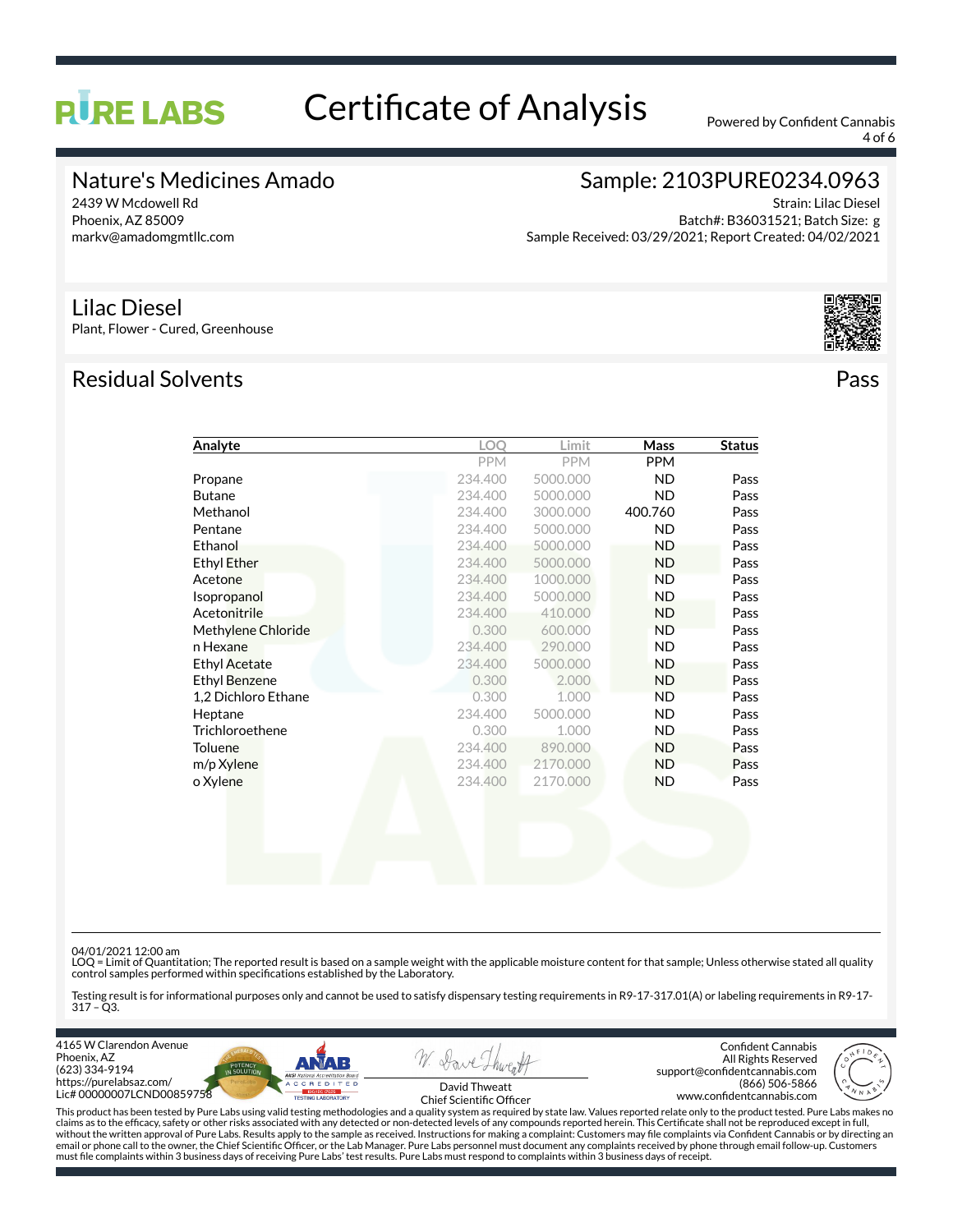# **RURE LABS**

# Certificate of Analysis Powered by Confident Cannabis

4 of 6

### Nature's Medicines Amado

2439 W Mcdowell Rd Phoenix, AZ 85009 markv@amadomgmtllc.com

# Sample: 2103PURE0234.0963

Strain: Lilac Diesel Batch#: B36031521; Batch Size: g Sample Received: 03/29/2021; Report Created: 04/02/2021

#### Lilac Diesel

Plant, Flower - Cured, Greenhouse

## Residual Solvents Pass



| Analyte              | LOO        | Limit      | Mass       | <b>Status</b> |
|----------------------|------------|------------|------------|---------------|
|                      | <b>PPM</b> | <b>PPM</b> | <b>PPM</b> |               |
| Propane              | 234.400    | 5000.000   | ND.        | Pass          |
| <b>Butane</b>        | 234,400    | 5000.000   | ND.        | Pass          |
| Methanol             | 234,400    | 3000.000   | 400.760    | Pass          |
| Pentane              | 234.400    | 5000.000   | <b>ND</b>  | Pass          |
| Ethanol              | 234.400    | 5000.000   | <b>ND</b>  | Pass          |
| <b>Ethyl Ether</b>   | 234.400    | 5000.000   | <b>ND</b>  | Pass          |
| Acetone              | 234.400    | 1000.000   | <b>ND</b>  | Pass          |
| Isopropanol          | 234,400    | 5000.000   | <b>ND</b>  | Pass          |
| Acetonitrile         | 234.400    | 410.000    | ND.        | Pass          |
| Methylene Chloride   | 0.300      | 600.000    | <b>ND</b>  | Pass          |
| n Hexane             | 234.400    | 290.000    | <b>ND</b>  | Pass          |
| <b>Ethyl Acetate</b> | 234.400    | 5000.000   | <b>ND</b>  | Pass          |
| <b>Ethyl Benzene</b> | 0.300      | 2.000      | <b>ND</b>  | Pass          |
| 1,2 Dichloro Ethane  | 0.300      | 1.000      | <b>ND</b>  | Pass          |
| Heptane              | 234.400    | 5000.000   | ND.        | Pass          |
| Trichloroethene      | 0.300      | 1.000      | <b>ND</b>  | Pass          |
| <b>Toluene</b>       | 234.400    | 890.000    | <b>ND</b>  | Pass          |
| m/p Xylene           | 234.400    | 2170.000   | <b>ND</b>  | Pass          |
| o Xylene             | 234.400    | 2170.000   | ND.        | Pass          |
|                      |            |            |            |               |

04/01/2021 12:00 am<br>LOQ = Limit of Quantitation; The reported result is based on a sample weight with the applicable moisture content for that sample; Unless otherwise stated all quality control samples performed within specications established by the Laboratory.

Testing result is for informational purposes only and cannot be used to satisfy dispensary testing requirements in R9-17-317.01(A) or labeling requirements in R9-17- 317 – Q3.

4165 W Clarendon Avenue Phoenix, AZ (623) 334-9194 https://purelabsaz.com/ Lic# 00000007LCND00859758





Confident Cannabis All Rights Reserved support@confidentcannabis.com (866) 506-5866 www.confidentcannabis.com



David Thweatt Chief Scientific Officer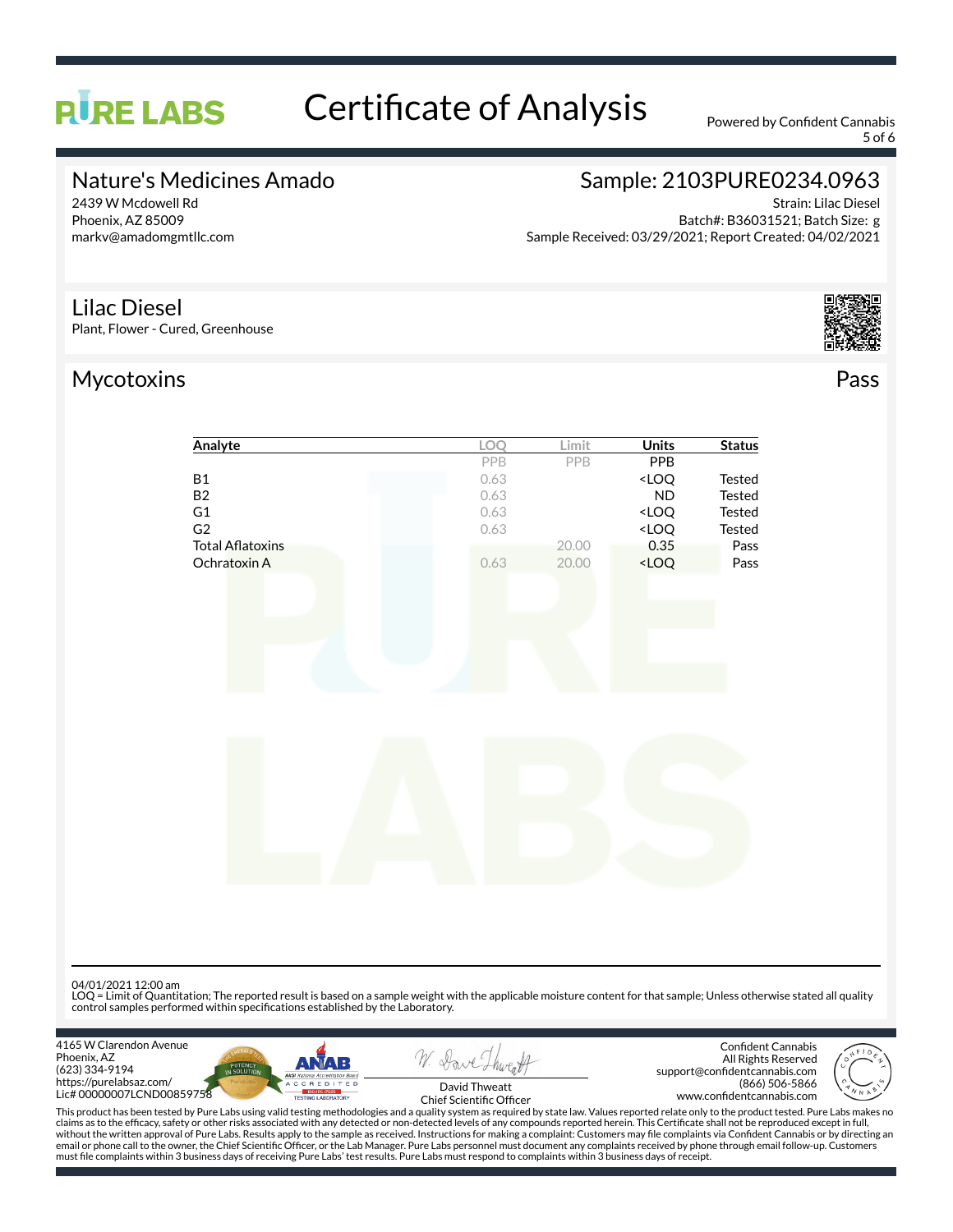# Certificate of Analysis Powered by Confident Cannabis

5 of 6

### Nature's Medicines Amado

2439 W Mcdowell Rd Phoenix, AZ 85009 markv@amadomgmtllc.com

**RURE LABS** 

# Sample: 2103PURE0234.0963

Strain: Lilac Diesel Batch#: B36031521; Batch Size: g Sample Received: 03/29/2021; Report Created: 04/02/2021

#### Lilac Diesel

Plant, Flower - Cured, Greenhouse

## Mycotoxins Pass





| <u>Analyte</u>   | <b>LOQ</b> | Limit | <b>Units</b>                       | <b>Status</b> |
|------------------|------------|-------|------------------------------------|---------------|
|                  | PPB        | PPB   | <b>PPB</b>                         |               |
| B1               | 0.63       |       | <loq< th=""><th>Tested</th></loq<> | Tested        |
| <b>B2</b>        | 0.63       |       | ${\sf ND}$                         | Tested        |
| G1               | 0.63       |       | $<$ LOQ                            | Tested        |
| G2               | 0.63       |       | $<$ LOQ                            | Tested        |
| Total Aflatoxins |            | 20.00 | 0.35                               | Pass          |
| Ochratoxin A     | 0.63       | 20.00 | $<$ LOQ                            | Pass          |
|                  |            |       |                                    |               |
|                  |            |       |                                    |               |
|                  |            |       |                                    |               |
|                  |            |       |                                    |               |
|                  |            |       |                                    |               |
|                  |            |       |                                    |               |
|                  |            |       |                                    |               |
|                  |            |       |                                    |               |
|                  |            |       |                                    |               |
|                  |            |       |                                    |               |
|                  |            |       |                                    |               |
|                  |            |       |                                    |               |
|                  |            |       |                                    |               |
|                  |            |       |                                    |               |
|                  |            |       |                                    |               |
|                  |            |       |                                    |               |
|                  |            |       |                                    |               |
|                  |            |       |                                    |               |
|                  |            |       |                                    |               |
|                  |            |       |                                    |               |

04/01/2021 12:00 am

LOQ = Limit of Quantitation; The reported result is based on a sample weight with the applicable moisture content for that sample; Unless otherwise stated all quality control samples performed within specifications established by the Laboratory.

4165 W Clarendon Avenue Phoenix, AZ (623) 334-9194 https://purelabsaz.com/ Lic# 00000007LCND00859758





Confident Cannabis All Rights Reserved support@confidentcannabis.com (866) 506-5866 www.confidentcannabis.com



David Thweatt Chief Scientific Officer